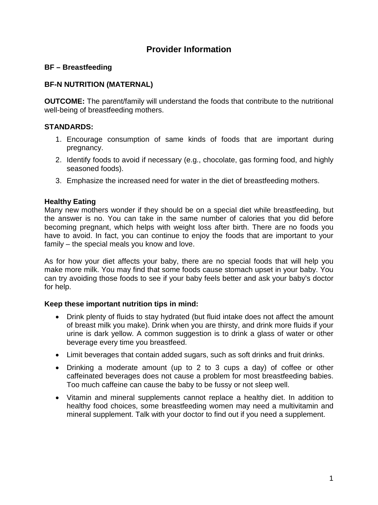# **Provider Information**

## **BF – Breastfeeding**

## **BF-N NUTRITION (MATERNAL)**

**OUTCOME:** The parent/family will understand the foods that contribute to the nutritional well-being of breastfeeding mothers.

### **STANDARDS:**

- 1. Encourage consumption of same kinds of foods that are important during pregnancy.
- 2. Identify foods to avoid if necessary (e.g., chocolate, gas forming food, and highly seasoned foods).
- 3. Emphasize the increased need for water in the diet of breastfeeding mothers.

### **Healthy Eating**

Many new mothers wonder if they should be on a special diet while breastfeeding, but the answer is no. You can take in the same number of calories that you did before becoming pregnant, which helps with weight loss after birth. There are no foods you have to avoid. In fact, you can continue to enjoy the foods that are important to your family – the special meals you know and love.

As for how your diet affects your baby, there are no special foods that will help you make more milk. You may find that some foods cause stomach upset in your baby. You can try avoiding those foods to see if your baby feels better and ask your baby's doctor for help.

### **Keep these important nutrition tips in mind:**

- Drink plenty of fluids to stay hydrated (but fluid intake does not affect the amount of breast milk you make). Drink when you are thirsty, and drink more fluids if your urine is dark yellow. A common suggestion is to drink a glass of water or other beverage every time you breastfeed.
- Limit beverages that contain added sugars, such as soft drinks and fruit drinks.
- Drinking a moderate amount (up to 2 to 3 cups a day) of coffee or other caffeinated beverages does not cause a problem for most breastfeeding babies. Too much caffeine can cause the baby to be fussy or not sleep well.
- Vitamin and mineral supplements cannot replace a healthy diet. In addition to healthy food choices, some breastfeeding women may need a multivitamin and mineral supplement. Talk with your doctor to find out if you need a supplement.